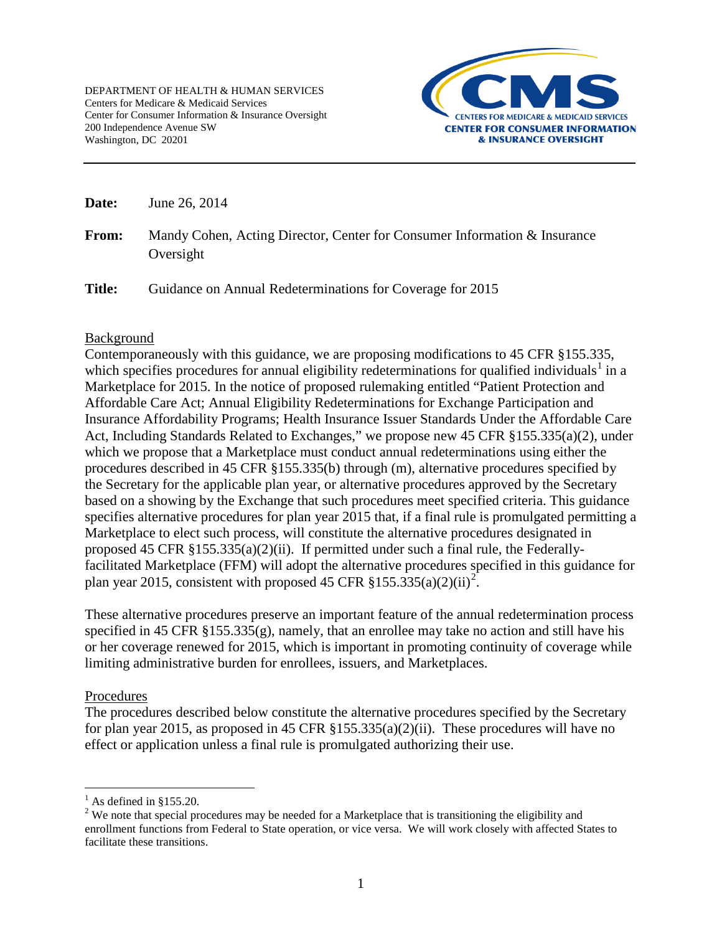

**Date:** June 26, 2014

**From:** Mandy Cohen, Acting Director, Center for Consumer Information & Insurance Oversight

Title: Guidance on Annual Redeterminations for Coverage for 2015

### Background

Contemporaneously with this guidance, we are proposing modifications to 45 CFR §155.335, which specifies procedures for annual eligibility redeterminations for qualified individuals<sup>[1](#page-0-0)</sup> in a Marketplace for 2015. In the notice of proposed rulemaking entitled "Patient Protection and Affordable Care Act; Annual Eligibility Redeterminations for Exchange Participation and Insurance Affordability Programs; Health Insurance Issuer Standards Under the Affordable Care Act, Including Standards Related to Exchanges," we propose new 45 CFR §155.335(a)(2), under which we propose that a Marketplace must conduct annual redeterminations using either the procedures described in 45 CFR §155.335(b) through (m), alternative procedures specified by the Secretary for the applicable plan year, or alternative procedures approved by the Secretary based on a showing by the Exchange that such procedures meet specified criteria. This guidance specifies alternative procedures for plan year 2015 that, if a final rule is promulgated permitting a Marketplace to elect such process, will constitute the alternative procedures designated in proposed 45 CFR §155.335(a)(2)(ii). If permitted under such a final rule, the Federallyfacilitated Marketplace (FFM) will adopt the alternative procedures specified in this guidance for plan year [2](#page-0-1)015, consistent with proposed 45 CFR  $$155.335(a)(2)(ii)^2$ .

These alternative procedures preserve an important feature of the annual redetermination process specified in 45 CFR §155.335(g), namely, that an enrollee may take no action and still have his or her coverage renewed for 2015, which is important in promoting continuity of coverage while limiting administrative burden for enrollees, issuers, and Marketplaces.

### Procedures

 $\overline{a}$ 

The procedures described below constitute the alternative procedures specified by the Secretary for plan year 2015, as proposed in 45 CFR  $\S 155.335(a)(2)(ii)$ . These procedures will have no effect or application unless a final rule is promulgated authorizing their use.

 $<sup>1</sup>$  As defined in §155.20.</sup>

<span id="page-0-1"></span><span id="page-0-0"></span><sup>&</sup>lt;sup>2</sup> We note that special procedures may be needed for a Marketplace that is transitioning the eligibility and enrollment functions from Federal to State operation, or vice versa. We will work closely with affected States to facilitate these transitions.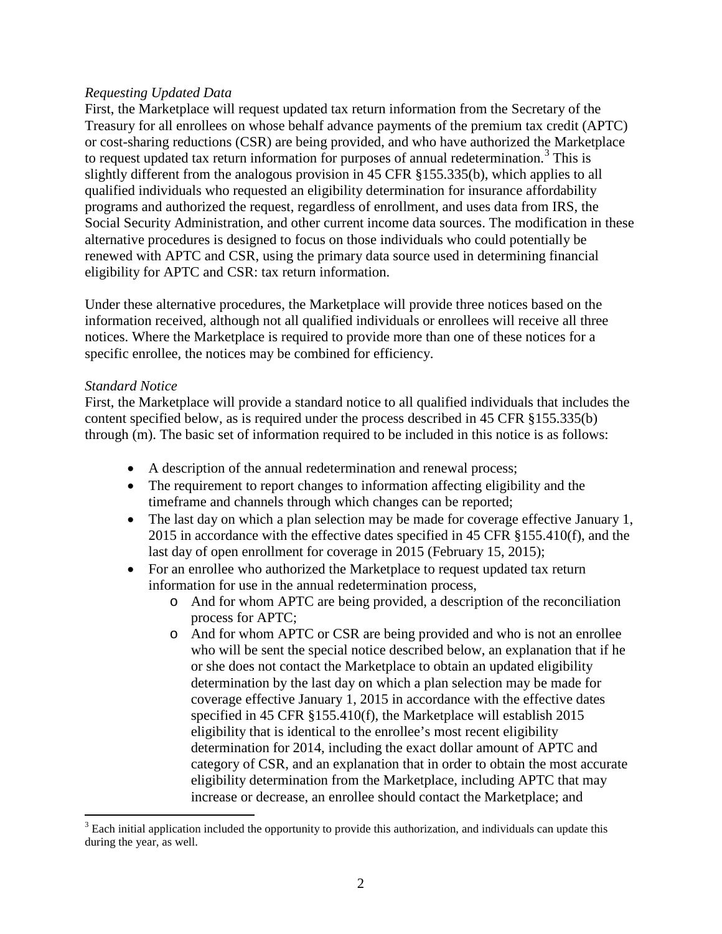### *Requesting Updated Data*

First, the Marketplace will request updated tax return information from the Secretary of the Treasury for all enrollees on whose behalf advance payments of the premium tax credit (APTC) or cost-sharing reductions (CSR) are being provided, and who have authorized the Marketplace to request updated tax return information for purposes of annual redetermination. [3](#page-1-0) This is slightly different from the analogous provision in 45 CFR §155.335(b), which applies to all qualified individuals who requested an eligibility determination for insurance affordability programs and authorized the request, regardless of enrollment, and uses data from IRS, the Social Security Administration, and other current income data sources. The modification in these alternative procedures is designed to focus on those individuals who could potentially be renewed with APTC and CSR, using the primary data source used in determining financial eligibility for APTC and CSR: tax return information.

Under these alternative procedures, the Marketplace will provide three notices based on the information received, although not all qualified individuals or enrollees will receive all three notices. Where the Marketplace is required to provide more than one of these notices for a specific enrollee, the notices may be combined for efficiency.

### *Standard Notice*

First, the Marketplace will provide a standard notice to all qualified individuals that includes the content specified below, as is required under the process described in 45 CFR §155.335(b) through (m). The basic set of information required to be included in this notice is as follows:

- A description of the annual redetermination and renewal process;
- The requirement to report changes to information affecting eligibility and the timeframe and channels through which changes can be reported;
- The last day on which a plan selection may be made for coverage effective January 1, 2015 in accordance with the effective dates specified in 45 CFR §155.410(f), and the last day of open enrollment for coverage in 2015 (February 15, 2015);
- For an enrollee who authorized the Marketplace to request updated tax return information for use in the annual redetermination process,
	- o And for whom APTC are being provided, a description of the reconciliation process for APTC;
	- o And for whom APTC or CSR are being provided and who is not an enrollee who will be sent the special notice described below, an explanation that if he or she does not contact the Marketplace to obtain an updated eligibility determination by the last day on which a plan selection may be made for coverage effective January 1, 2015 in accordance with the effective dates specified in 45 CFR §155.410(f), the Marketplace will establish 2015 eligibility that is identical to the enrollee's most recent eligibility determination for 2014, including the exact dollar amount of APTC and category of CSR, and an explanation that in order to obtain the most accurate eligibility determination from the Marketplace, including APTC that may increase or decrease, an enrollee should contact the Marketplace; and

<span id="page-1-0"></span> $\overline{a}$  $3$  Each initial application included the opportunity to provide this authorization, and individuals can update this during the year, as well.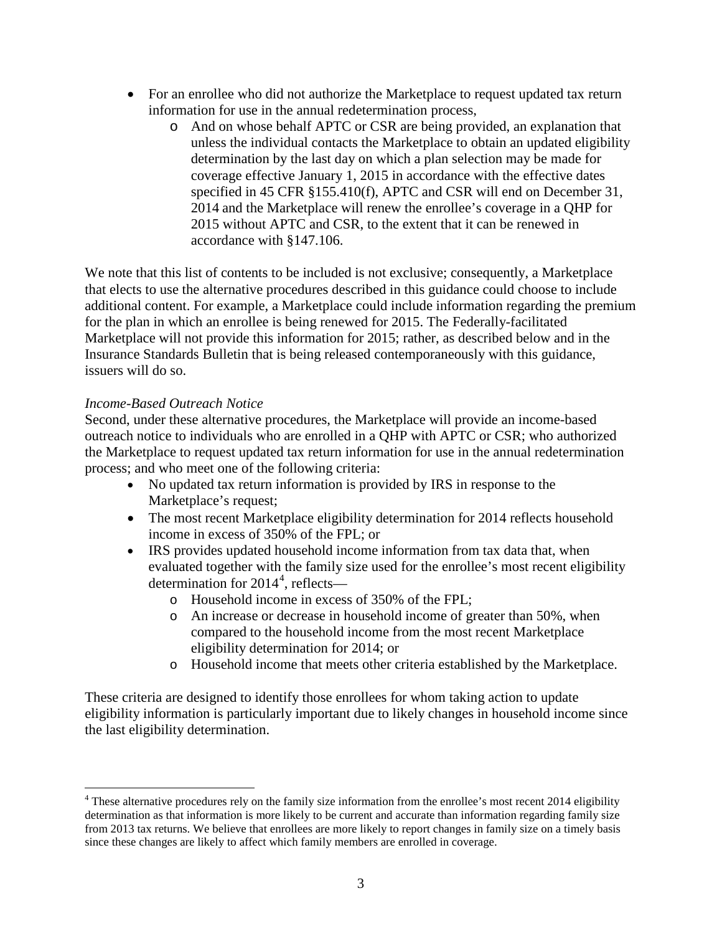- For an enrollee who did not authorize the Marketplace to request updated tax return information for use in the annual redetermination process,
	- o And on whose behalf APTC or CSR are being provided, an explanation that unless the individual contacts the Marketplace to obtain an updated eligibility determination by the last day on which a plan selection may be made for coverage effective January 1, 2015 in accordance with the effective dates specified in 45 CFR §155.410(f), APTC and CSR will end on December 31, 2014 and the Marketplace will renew the enrollee's coverage in a QHP for 2015 without APTC and CSR, to the extent that it can be renewed in accordance with §147.106.

We note that this list of contents to be included is not exclusive; consequently, a Marketplace that elects to use the alternative procedures described in this guidance could choose to include additional content. For example, a Marketplace could include information regarding the premium for the plan in which an enrollee is being renewed for 2015. The Federally-facilitated Marketplace will not provide this information for 2015; rather, as described below and in the Insurance Standards Bulletin that is being released contemporaneously with this guidance, issuers will do so.

# *Income-Based Outreach Notice*

Second, under these alternative procedures, the Marketplace will provide an income-based outreach notice to individuals who are enrolled in a QHP with APTC or CSR; who authorized the Marketplace to request updated tax return information for use in the annual redetermination process; and who meet one of the following criteria:

- No updated tax return information is provided by IRS in response to the Marketplace's request;
- The most recent Marketplace eligibility determination for 2014 reflects household income in excess of 350% of the FPL; or
- IRS provides updated household income information from tax data that, when evaluated together with the family size used for the enrollee's most recent eligibility determination for 201[4](#page-2-0)<sup>4</sup>, reflects
	- o Household income in excess of 350% of the FPL;
	- o An increase or decrease in household income of greater than 50%, when compared to the household income from the most recent Marketplace eligibility determination for 2014; or
	- o Household income that meets other criteria established by the Marketplace.

These criteria are designed to identify those enrollees for whom taking action to update eligibility information is particularly important due to likely changes in household income since the last eligibility determination.

<span id="page-2-0"></span><sup>&</sup>lt;sup>4</sup> These alternative procedures rely on the family size information from the enrollee's most recent 2014 eligibility determination as that information is more likely to be current and accurate than information regarding family size from 2013 tax returns. We believe that enrollees are more likely to report changes in family size on a timely basis since these changes are likely to affect which family members are enrolled in coverage.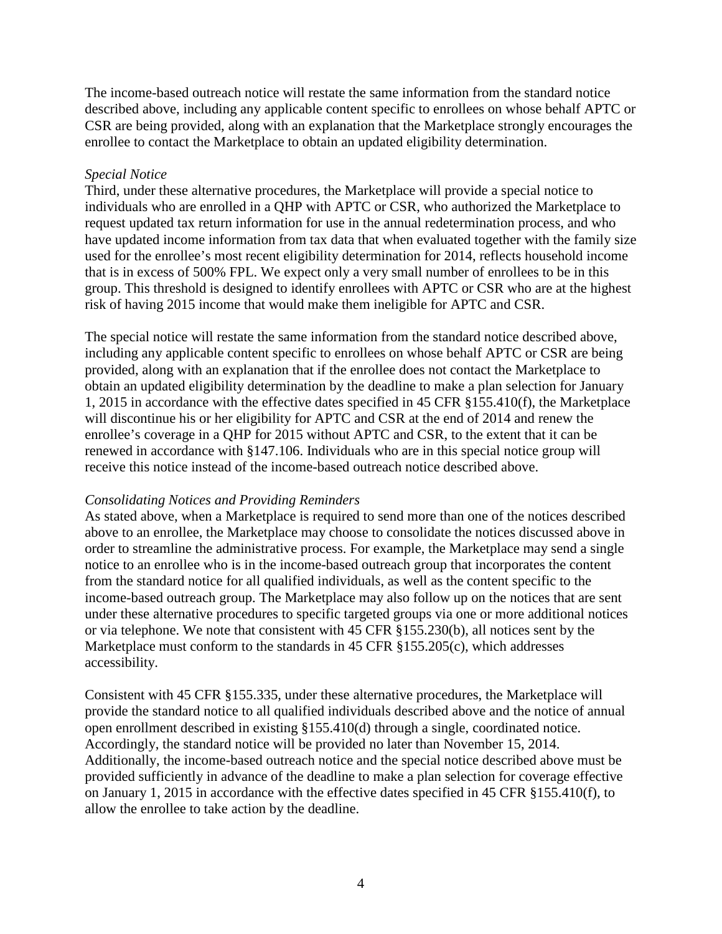The income-based outreach notice will restate the same information from the standard notice described above, including any applicable content specific to enrollees on whose behalf APTC or CSR are being provided, along with an explanation that the Marketplace strongly encourages the enrollee to contact the Marketplace to obtain an updated eligibility determination.

## *Special Notice*

Third, under these alternative procedures, the Marketplace will provide a special notice to individuals who are enrolled in a QHP with APTC or CSR, who authorized the Marketplace to request updated tax return information for use in the annual redetermination process, and who have updated income information from tax data that when evaluated together with the family size used for the enrollee's most recent eligibility determination for 2014, reflects household income that is in excess of 500% FPL. We expect only a very small number of enrollees to be in this group. This threshold is designed to identify enrollees with APTC or CSR who are at the highest risk of having 2015 income that would make them ineligible for APTC and CSR.

The special notice will restate the same information from the standard notice described above, including any applicable content specific to enrollees on whose behalf APTC or CSR are being provided, along with an explanation that if the enrollee does not contact the Marketplace to obtain an updated eligibility determination by the deadline to make a plan selection for January 1, 2015 in accordance with the effective dates specified in 45 CFR §155.410(f), the Marketplace will discontinue his or her eligibility for APTC and CSR at the end of 2014 and renew the enrollee's coverage in a QHP for 2015 without APTC and CSR, to the extent that it can be renewed in accordance with §147.106. Individuals who are in this special notice group will receive this notice instead of the income-based outreach notice described above.

### *Consolidating Notices and Providing Reminders*

As stated above, when a Marketplace is required to send more than one of the notices described above to an enrollee, the Marketplace may choose to consolidate the notices discussed above in order to streamline the administrative process. For example, the Marketplace may send a single notice to an enrollee who is in the income-based outreach group that incorporates the content from the standard notice for all qualified individuals, as well as the content specific to the income-based outreach group. The Marketplace may also follow up on the notices that are sent under these alternative procedures to specific targeted groups via one or more additional notices or via telephone. We note that consistent with 45 CFR §155.230(b), all notices sent by the Marketplace must conform to the standards in 45 CFR §155.205(c), which addresses accessibility.

Consistent with 45 CFR §155.335, under these alternative procedures, the Marketplace will provide the standard notice to all qualified individuals described above and the notice of annual open enrollment described in existing §155.410(d) through a single, coordinated notice. Accordingly, the standard notice will be provided no later than November 15, 2014. Additionally, the income-based outreach notice and the special notice described above must be provided sufficiently in advance of the deadline to make a plan selection for coverage effective on January 1, 2015 in accordance with the effective dates specified in 45 CFR §155.410(f), to allow the enrollee to take action by the deadline.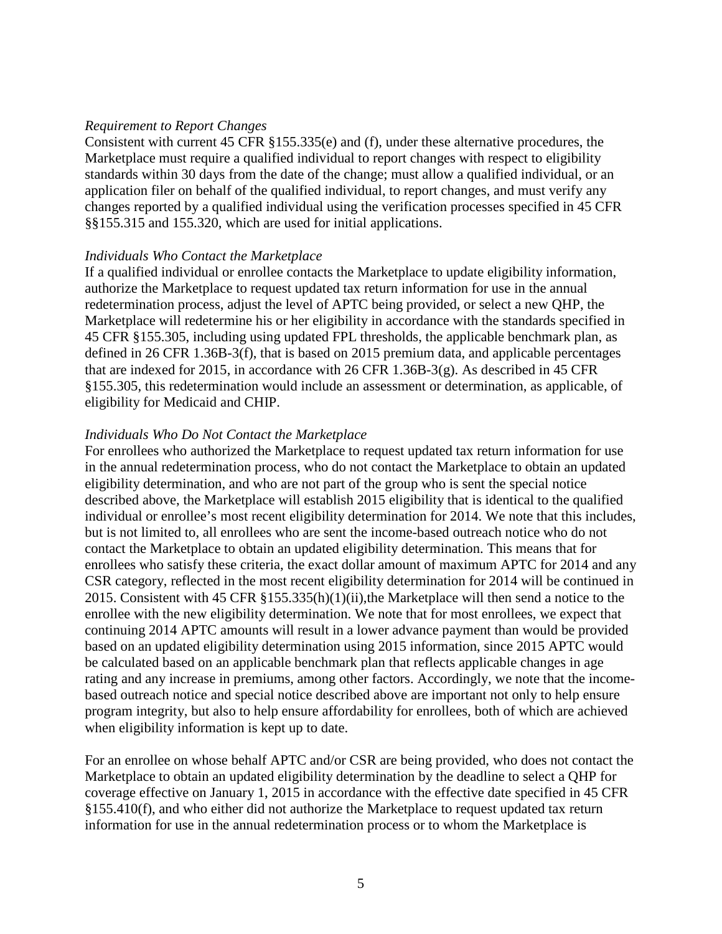#### *Requirement to Report Changes*

Consistent with current 45 CFR §155.335(e) and (f), under these alternative procedures, the Marketplace must require a qualified individual to report changes with respect to eligibility standards within 30 days from the date of the change; must allow a qualified individual, or an application filer on behalf of the qualified individual, to report changes, and must verify any changes reported by a qualified individual using the verification processes specified in 45 CFR §§155.315 and 155.320, which are used for initial applications.

#### *Individuals Who Contact the Marketplace*

If a qualified individual or enrollee contacts the Marketplace to update eligibility information, authorize the Marketplace to request updated tax return information for use in the annual redetermination process, adjust the level of APTC being provided, or select a new QHP, the Marketplace will redetermine his or her eligibility in accordance with the standards specified in 45 CFR §155.305, including using updated FPL thresholds, the applicable benchmark plan, as defined in 26 CFR 1.36B-3(f), that is based on 2015 premium data, and applicable percentages that are indexed for 2015, in accordance with 26 CFR 1.36B-3(g). As described in 45 CFR §155.305, this redetermination would include an assessment or determination, as applicable, of eligibility for Medicaid and CHIP.

#### *Individuals Who Do Not Contact the Marketplace*

For enrollees who authorized the Marketplace to request updated tax return information for use in the annual redetermination process, who do not contact the Marketplace to obtain an updated eligibility determination, and who are not part of the group who is sent the special notice described above, the Marketplace will establish 2015 eligibility that is identical to the qualified individual or enrollee's most recent eligibility determination for 2014. We note that this includes, but is not limited to, all enrollees who are sent the income-based outreach notice who do not contact the Marketplace to obtain an updated eligibility determination. This means that for enrollees who satisfy these criteria, the exact dollar amount of maximum APTC for 2014 and any CSR category, reflected in the most recent eligibility determination for 2014 will be continued in 2015. Consistent with 45 CFR §155.335(h)(1)(ii),the Marketplace will then send a notice to the enrollee with the new eligibility determination. We note that for most enrollees, we expect that continuing 2014 APTC amounts will result in a lower advance payment than would be provided based on an updated eligibility determination using 2015 information, since 2015 APTC would be calculated based on an applicable benchmark plan that reflects applicable changes in age rating and any increase in premiums, among other factors. Accordingly, we note that the incomebased outreach notice and special notice described above are important not only to help ensure program integrity, but also to help ensure affordability for enrollees, both of which are achieved when eligibility information is kept up to date.

For an enrollee on whose behalf APTC and/or CSR are being provided, who does not contact the Marketplace to obtain an updated eligibility determination by the deadline to select a QHP for coverage effective on January 1, 2015 in accordance with the effective date specified in 45 CFR §155.410(f), and who either did not authorize the Marketplace to request updated tax return information for use in the annual redetermination process or to whom the Marketplace is